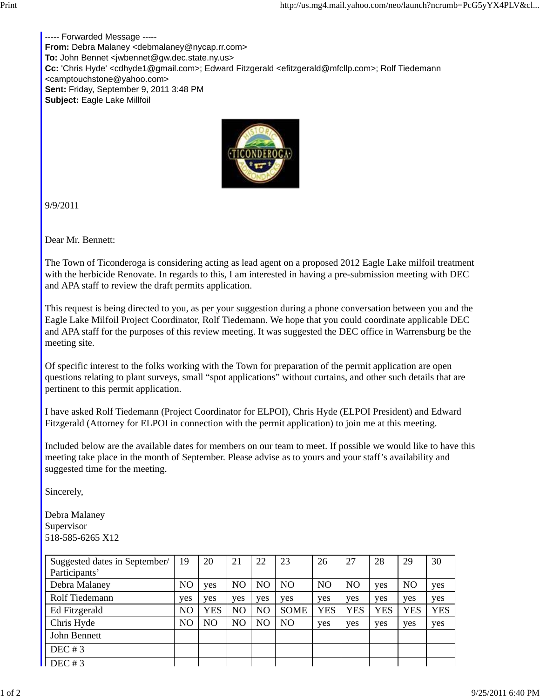----- Forwarded Message ----- **From:** Debra Malaney <debmalaney@nycap.rr.com> **To:** John Bennet <jwbennet@gw.dec.state.ny.us> **Cc:** 'Chris Hyde' <cdhyde1@gmail.com>; Edward Fitzgerald <efitzgerald@mfcllp.com>; Rolf Tiedemann <camptouchstone@yahoo.com> **Sent:** Friday, September 9, 2011 3:48 PM **Subject:** Eagle Lake Millfoil



9/9/2011

Dear Mr. Bennett:

The Town of Ticonderoga is considering acting as lead agent on a proposed 2012 Eagle Lake milfoil treatment with the herbicide Renovate. In regards to this, I am interested in having a pre-submission meeting with DEC and APA staff to review the draft permits application.

This request is being directed to you, as per your suggestion during a phone conversation between you and the Eagle Lake Milfoil Project Coordinator, Rolf Tiedemann. We hope that you could coordinate applicable DEC and APA staff for the purposes of this review meeting. It was suggested the DEC office in Warrensburg be the meeting site.

Of specific interest to the folks working with the Town for preparation of the permit application are open questions relating to plant surveys, small "spot applications" without curtains, and other such details that are pertinent to this permit application.

I have asked Rolf Tiedemann (Project Coordinator for ELPOI), Chris Hyde (ELPOI President) and Edward Fitzgerald (Attorney for ELPOI in connection with the permit application) to join me at this meeting.

Included below are the available dates for members on our team to meet. If possible we would like to have this meeting take place in the month of September. Please advise as to yours and your staff's availability and suggested time for the meeting.

Sincerely,

Debra Malaney Supervisor 518-585-6265 X12

| Suggested dates in September/ | 19  | 20  | 21             | 22  | 23             | 26             | 27             | 28         | 29             | 30         |
|-------------------------------|-----|-----|----------------|-----|----------------|----------------|----------------|------------|----------------|------------|
| Participants'                 |     |     |                |     |                |                |                |            |                |            |
| Debra Malaney                 | NO  | yes | N <sub>O</sub> | NO  | NO             | N <sub>O</sub> | N <sub>O</sub> | yes        | N <sub>O</sub> | yes        |
| Rolf Tiedemann                | yes | yes | yes            | yes | yes            | yes            | yes            | yes        | yes            | yes        |
| Ed Fitzgerald                 | NO  | YES | NO             | NO  | <b>SOME</b>    | <b>YES</b>     | YES            | <b>YES</b> | <b>YES</b>     | <b>YES</b> |
| Chris Hyde                    | NO  | NO  | N <sub>O</sub> | NO  | N <sub>O</sub> | yes            | yes            | yes        | yes            | yes        |
| John Bennett                  |     |     |                |     |                |                |                |            |                |            |
| DEC#3                         |     |     |                |     |                |                |                |            |                |            |
| DEC#3                         |     |     |                |     |                |                |                |            |                |            |